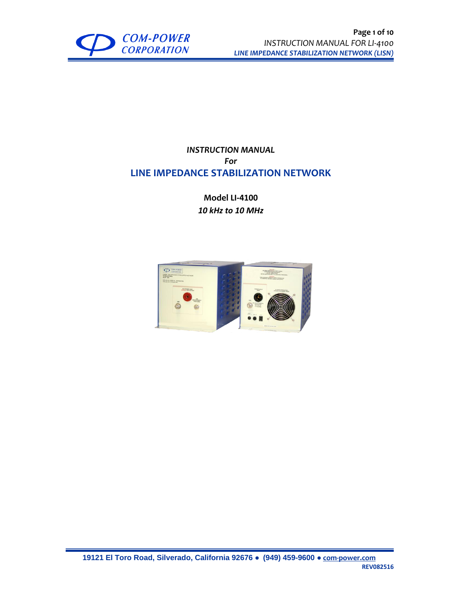

## *INSTRUCTION MANUAL For* **LINE IMPEDANCE STABILIZATION NETWORK**

**Model LI-4100** *10 kHz to 10 MHz*

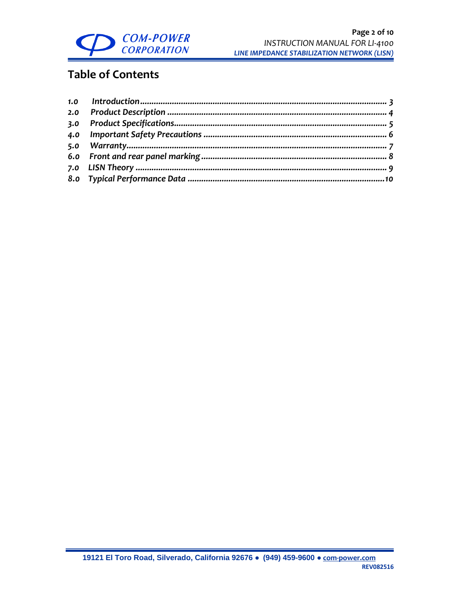

# **Table of Contents**

| 3.0 |  |
|-----|--|
| 4.0 |  |
|     |  |
|     |  |
|     |  |
|     |  |
|     |  |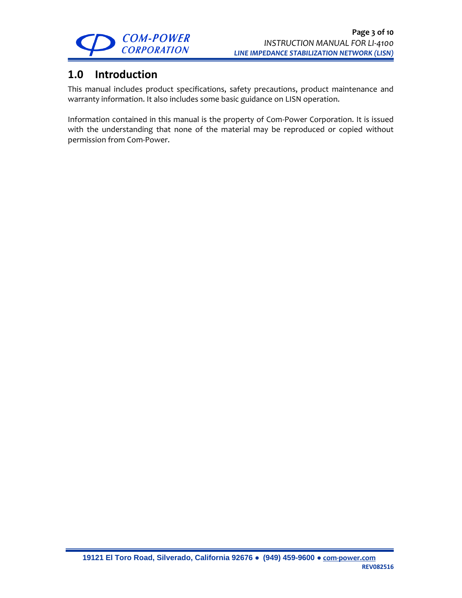

## <span id="page-2-0"></span>**1.0 Introduction**

This manual includes product specifications, safety precautions, product maintenance and warranty information. It also includes some basic guidance on LISN operation.

Information contained in this manual is the property of Com-Power Corporation. It is issued with the understanding that none of the material may be reproduced or copied without permission from Com-Power.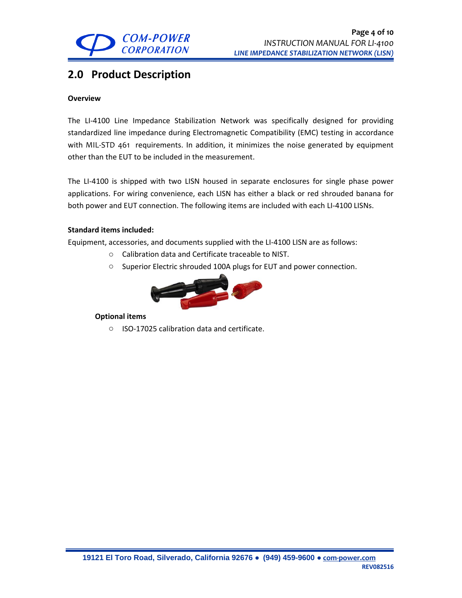

## <span id="page-3-0"></span>**2.0 Product Description**

### **Overview**

The LI-4100 Line Impedance Stabilization Network was specifically designed for providing standardized line impedance during Electromagnetic Compatibility (EMC) testing in accordance with MIL-STD 461 requirements. In addition, it minimizes the noise generated by equipment other than the EUT to be included in the measurement.

The LI-4100 is shipped with two LISN housed in separate enclosures for single phase power applications. For wiring convenience, each LISN has either a black or red shrouded banana for both power and EUT connection. The following items are included with each LI-4100 LISNs.

## **Standard items included:**

Equipment, accessories, and documents supplied with the LI-4100 LISN are as follows:

- o Calibration data and Certificate traceable to NIST.
- o Superior Electric shrouded 100A plugs for EUT and power connection.



#### **Optional items**

o ISO-17025 calibration data and certificate.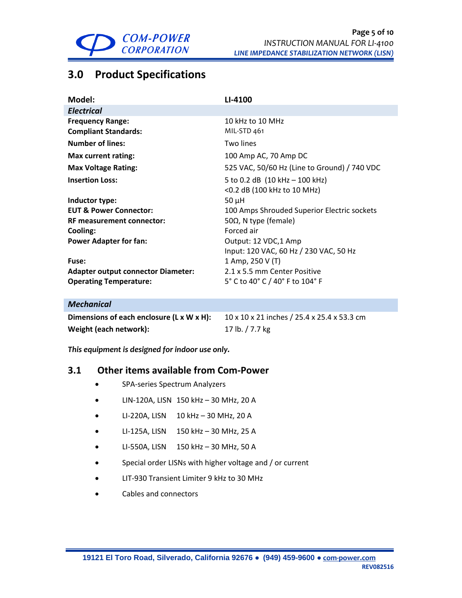

# <span id="page-4-0"></span>**3.0 Product Specifications**

| Model:                                    | LI-4100                                      |
|-------------------------------------------|----------------------------------------------|
| <b>Electrical</b>                         |                                              |
| <b>Frequency Range:</b>                   | 10 kHz to 10 MHz                             |
| <b>Compliant Standards:</b>               | MIL-STD 461                                  |
| <b>Number of lines:</b>                   | Two lines                                    |
| Max current rating:                       | 100 Amp AC, 70 Amp DC                        |
| <b>Max Voltage Rating:</b>                | 525 VAC, 50/60 Hz (Line to Ground) / 740 VDC |
| <b>Insertion Loss:</b>                    | 5 to 0.2 dB (10 kHz - 100 kHz)               |
|                                           | <0.2 dB (100 kHz to 10 MHz)                  |
| Inductor type:                            | $50 \mu H$                                   |
| <b>EUT &amp; Power Connector:</b>         | 100 Amps Shrouded Superior Electric sockets  |
| <b>RF measurement connector:</b>          | 50Ω, N type (female)                         |
| Cooling:                                  | Forced air                                   |
| <b>Power Adapter for fan:</b>             | Output: 12 VDC, 1 Amp                        |
|                                           | Input: 120 VAC, 60 Hz / 230 VAC, 50 Hz       |
| Fuse:                                     | 1 Amp, 250 V (T)                             |
| <b>Adapter output connector Diameter:</b> | 2.1 x 5.5 mm Center Positive                 |
| <b>Operating Temperature:</b>             | 5° C to 40° C / 40° F to 104° F              |
|                                           |                                              |

## *Mechanical*

| Dimensions of each enclosure (L x W x H): | 10 x 10 x 21 inches / 25.4 x 25.4 x 53.3 cm |
|-------------------------------------------|---------------------------------------------|
| Weight (each network):                    | 17 lb. / 7.7 kg                             |

*This equipment is designed for indoor use only.*

## **3.1 Other items available from Com-Power**

- SPA-series Spectrum Analyzers
- LIN-120A, LISN 150 kHz 30 MHz, 20 A
- LI-220A, LISN 10 kHz 30 MHz, 20 A
- LI-125A, LISN 150 kHz 30 MHz, 25 A
- LI-550A, LISN 150 kHz 30 MHz, 50 A
- Special order LISNs with higher voltage and / or current
- LIT-930 Transient Limiter 9 kHz to 30 MHz
- Cables and connectors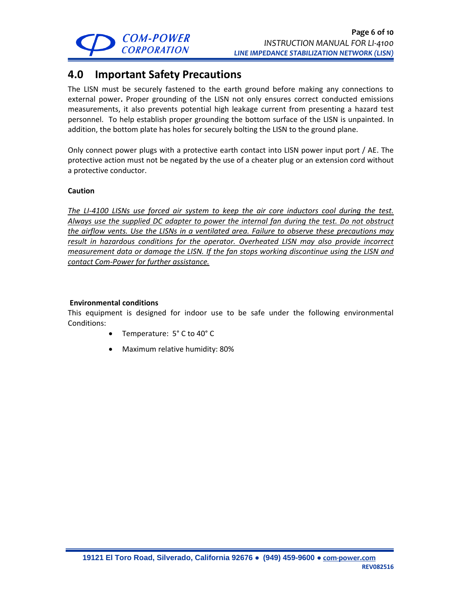

## <span id="page-5-0"></span>**4.0 Important Safety Precautions**

The LISN must be securely fastened to the earth ground before making any connections to external power**.** Proper grounding of the LISN not only ensures correct conducted emissions measurements, it also prevents potential high leakage current from presenting a hazard test personnel. To help establish proper grounding the bottom surface of the LISN is unpainted. In addition, the bottom plate has holes for securely bolting the LISN to the ground plane.

Only connect power plugs with a protective earth contact into LISN power input port / AE. The protective action must not be negated by the use of a cheater plug or an extension cord without a protective conductor.

## **Caution**

*The LI-4100 LISNs use forced air system to keep the air core inductors cool during the test. Always use the supplied DC adapter to power the internal fan during the test. Do not obstruct the airflow vents. Use the LISNs in a ventilated area. Failure to observe these precautions may result in hazardous conditions for the operator. Overheated LISN may also provide incorrect measurement data or damage the LISN. If the fan stops working discontinue using the LISN and contact Com-Power for further assistance.*

## **Environmental conditions**

This equipment is designed for indoor use to be safe under the following environmental Conditions:

- Temperature: 5° C to 40° C
- Maximum relative humidity: 80%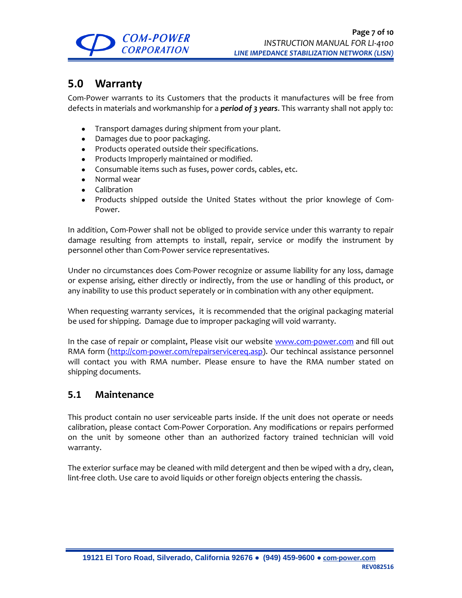

## <span id="page-6-0"></span>**5.0 Warranty**

Com-Power warrants to its Customers that the products it manufactures will be free from defects in materials and workmanship for a *period of 3 years*. This warranty shall not apply to:

- Transport damages during shipment from your plant.
- Damages due to poor packaging.
- Products operated outside their specifications.
- Products Improperly maintained or modified.
- Consumable items such as fuses, power cords, cables, etc.
- Normal wear
- Calibration
- Products shipped outside the United States without the prior knowlege of Com-Power.

In addition, Com-Power shall not be obliged to provide service under this warranty to repair damage resulting from attempts to install, repair, service or modify the instrument by personnel other than Com-Power service representatives.

Under no circumstances does Com-Power recognize or assume liability for any loss, damage or expense arising, either directly or indirectly, from the use or handling of this product, or any inability to use this product seperately or in combination with any other equipment.

When requesting warranty services, it is recommended that the original packaging material be used for shipping. Damage due to improper packaging will void warranty.

In the case of repair or complaint, Please visit our website [www.com-power.com](http://www.com-power.com/) and fill out RMA form [\(http://com-power.com/repairservicereq.asp\)](http://com-power.com/repairservicereq.asp). Our techincal assistance personnel will contact you with RMA number. Please ensure to have the RMA number stated on shipping documents.

## **5.1 Maintenance**

This product contain no user serviceable parts inside. If the unit does not operate or needs calibration, please contact Com-Power Corporation. Any modifications or repairs performed on the unit by someone other than an authorized factory trained technician will void warranty.

The exterior surface may be cleaned with mild detergent and then be wiped with a dry, clean, lint-free cloth. Use care to avoid liquids or other foreign objects entering the chassis.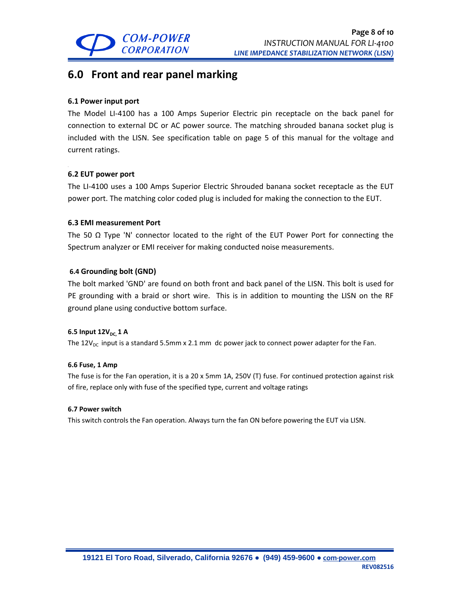

## <span id="page-7-0"></span>**6.0 Front and rear panel marking**

## **6.1 Power input port**

The Model LI-4100 has a 100 Amps Superior Electric pin receptacle on the back panel for connection to external DC or AC power source. The matching shrouded banana socket plug is included with the LISN. See specification table on page 5 of this manual for the voltage and current ratings.

## **6.2 EUT power port**

The LI-4100 uses a 100 Amps Superior Electric Shrouded banana socket receptacle as the EUT power port. The matching color coded plug is included for making the connection to the EUT.

## **6.3 EMI measurement Port**

The 50  $\Omega$  Type 'N' connector located to the right of the EUT Power Port for connecting the Spectrum analyzer or EMI receiver for making conducted noise measurements.

## **6.4 Grounding bolt (GND)**

The bolt marked 'GND' are found on both front and back panel of the LISN. This bolt is used for PE grounding with a braid or short wire. This is in addition to mounting the LISN on the RF ground plane using conductive bottom surface.

## **6.5 Input 12V<sub>DC</sub> 1 A**

The 12V<sub>DC</sub> input is a standard 5.5mm x 2.1 mm dc power jack to connect power adapter for the Fan.

#### **6.6 Fuse, 1 Amp**

The fuse is for the Fan operation, it is a 20 x 5mm 1A, 250V (T) fuse. For continued protection against risk of fire, replace only with fuse of the specified type, current and voltage ratings

#### **6.7 Power switch**

This switch controls the Fan operation. Always turn the fan ON before powering the EUT via LISN.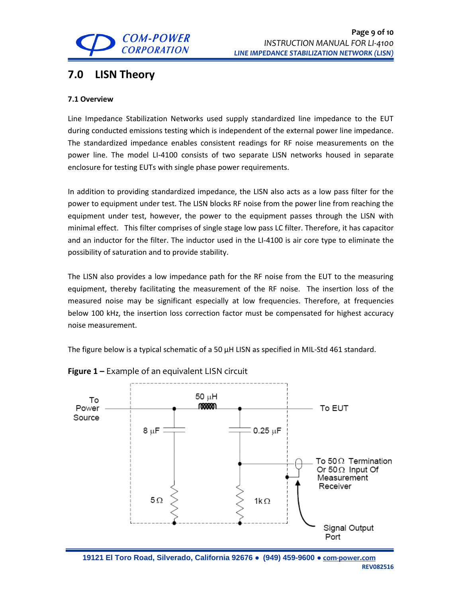

## <span id="page-8-0"></span>**7.0 LISN Theory**

## **7.1 Overview**

Line Impedance Stabilization Networks used supply standardized line impedance to the EUT during conducted emissions testing which is independent of the external power line impedance. The standardized impedance enables consistent readings for RF noise measurements on the power line. The model LI-4100 consists of two separate LISN networks housed in separate enclosure for testing EUTs with single phase power requirements.

In addition to providing standardized impedance, the LISN also acts as a low pass filter for the power to equipment under test. The LISN blocks RF noise from the power line from reaching the equipment under test, however, the power to the equipment passes through the LISN with minimal effect. This filter comprises of single stage low pass LC filter. Therefore, it has capacitor and an inductor for the filter. The inductor used in the LI-4100 is air core type to eliminate the possibility of saturation and to provide stability.

The LISN also provides a low impedance path for the RF noise from the EUT to the measuring equipment, thereby facilitating the measurement of the RF noise. The insertion loss of the measured noise may be significant especially at low frequencies. Therefore, at frequencies below 100 kHz, the insertion loss correction factor must be compensated for highest accuracy noise measurement.

The figure below is a typical schematic of a 50  $\mu$ H LISN as specified in MIL-Std 461 standard.



**Figure 1 –** Example of an equivalent LISN circuit